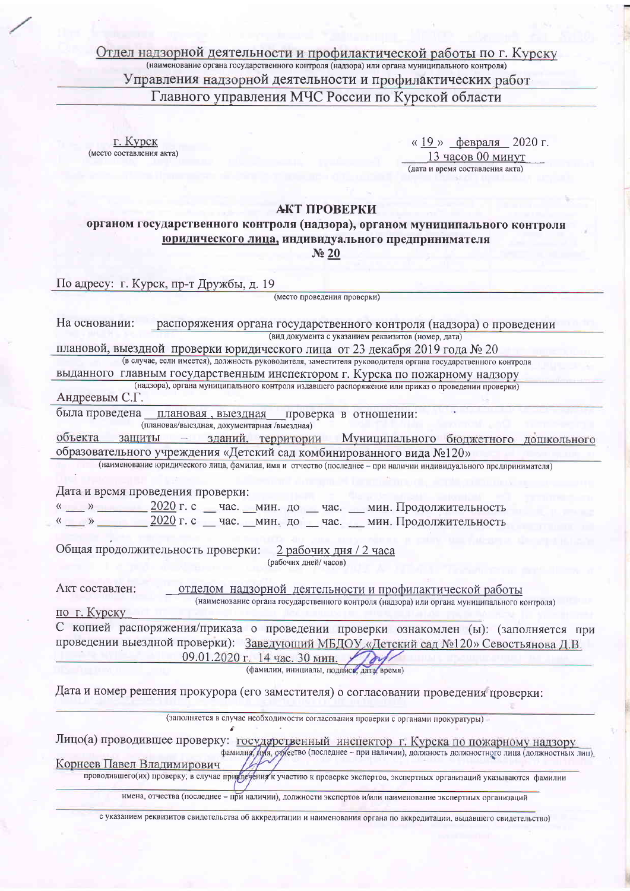Отдел надзорной деятельности и профилактической работы по г. Курску Управления надзорной деятельности и профилактических работ Главного управления МЧС России по Курской области

г. Курск (место составления акта)

«19» февраля 2020 г. 13 часов 00 минут (дата и время составления акта)

## АКТ ПРОВЕРКИ

органом государственного контроля (надзора), органом муниципального контроля юридического лица, индивидуального предпринимателя

No 20

По адресу: г. Курск, пр-т Дружбы, д. 19

(место проведения проверки)

| На основании:<br>распоряжения органа государственного контроля (надзора) о проведении                                          |  |  |  |  |
|--------------------------------------------------------------------------------------------------------------------------------|--|--|--|--|
| (вид документа с указанием реквизитов (номер, дата)                                                                            |  |  |  |  |
| плановой, выездной проверки юридического лица от 23 декабря 2019 года № 20                                                     |  |  |  |  |
| (в случае, если имеется), должность руководителя, заместителя руководителя органа государственного контроля                    |  |  |  |  |
| выданного главным государственным инспектором г. Курска по пожарному надзору                                                   |  |  |  |  |
| (надзора), органа муниципального контроля издавшего распоряжение или приказ о проведении проверки)<br>Андреевым С.Г.           |  |  |  |  |
| была проведена плановая, выездная проверка в отношении:<br>(плановая/выездная, документарная /выездная)                        |  |  |  |  |
| объекта<br>защиты - зданий, территории Муниципального бюджетного дошкольного                                                   |  |  |  |  |
| образовательного учреждения «Детский сад комбинированного вида №120»                                                           |  |  |  |  |
| (наименование юридического лица, фамилия, имя и отчество (последнее - при наличии индивидуального предпринимателя)             |  |  |  |  |
| Дата и время проведения проверки:                                                                                              |  |  |  |  |
| « __ » ___ __ 2020 г. с __ час. __ мин. до __ час. __ мин. Продолжительность                                                   |  |  |  |  |
| « __ » __ _ _ 2020 г. с _ час. _ мин. до _ час. _ мин. Продолжительность                                                       |  |  |  |  |
|                                                                                                                                |  |  |  |  |
| Общая продолжительность проверки: 2 рабочих дня / 2 часа<br>(рабочих дней/часов)                                               |  |  |  |  |
| Акт составлен:<br>отделом надзорной деятельности и профилактической работы                                                     |  |  |  |  |
| (наименование органа государственного контроля (надзора) или органа муниципального контроля)                                   |  |  |  |  |
| по г. Курску                                                                                                                   |  |  |  |  |
| С копией распоряжения/приказа о проведении проверки ознакомлен (ы): (заполняется при                                           |  |  |  |  |
| проведении выездной проверки): Заведующий МБДОУ «Детский сад №120» Севостьянова Д.В.<br>09.01.2020 г. 14 час. 30 мин. >        |  |  |  |  |
| (фамилии, инициалы, подпись, дата, время)                                                                                      |  |  |  |  |
| Дата и номер решения прокурора (его заместителя) о согласовании проведения проверки:                                           |  |  |  |  |
| (заполняется в случае необходимости согласования проверки с органами прокуратуры)                                              |  |  |  |  |
|                                                                                                                                |  |  |  |  |
| Лицо(а) проводившее проверку: государственный инспектор г. Курска по пожарному надзору                                         |  |  |  |  |
| фамилия, дуя, отуество (последнее - при наличии), должность должностного лица (должностных лиц).<br>Корнеев Павел Владимирович |  |  |  |  |
| проводившего(их) проверку; в случае приз печения к участию к проверке экспертов, экспертных организаций указываются фамилии    |  |  |  |  |
| имена, отчества (последнее - при наличии), должности экспертов и/или наименование экспертных организаций                       |  |  |  |  |

с указанием реквизитов свидетельства об аккредитации и наименования органа по аккредитации, выдавшего свидетельство)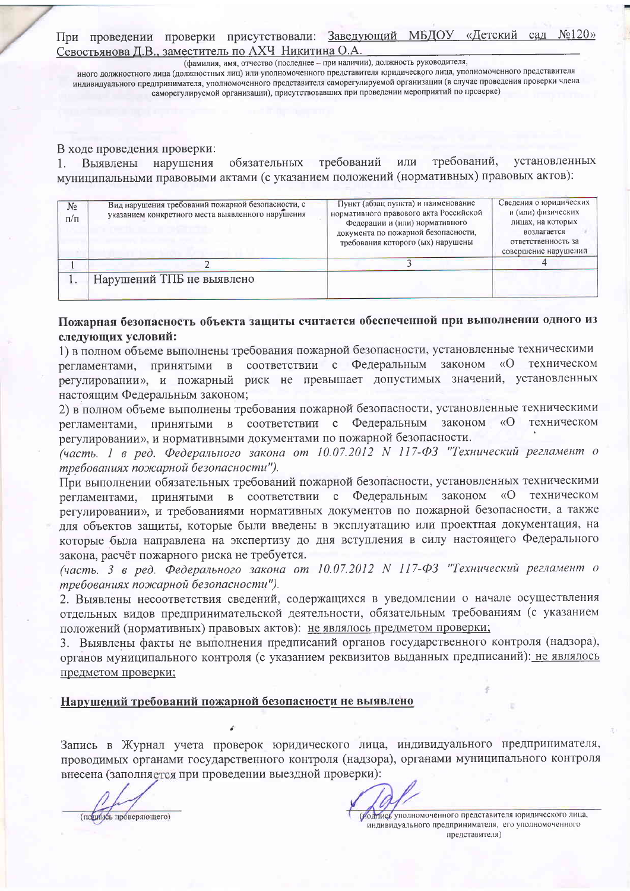При проведении проверки присутствовали: Заведующий МБДОУ «Детский сад Севостьянова Д.В., заместитель по АХЧ Никитина О.А.

(фамилия, имя, отчество (последнее - при наличии), должность руководителя, иного должностного лица (должностных лиц) или уполномоченного представителя юридического лица, уполномоченного представителя индивидуального предпринимателя, уполномоченного представителя саморегулируемой организации (в случае проведения проверки члена саморегулируемой организации), присутствовавших при проведении мероприятий по проверке)

## В ходе проведения проверки:

или требований, установленных Выявлены нарушения обязательных требований муниципальными правовыми актами (с указанием положений (нормативных) правовых актов):

| N <sub>2</sub><br>$\Pi/\Pi$ | Вид нарушения требований пожарной безопасности, с<br>указанием конкретного места выявленного нарушения | Пункт (абзац пункта) и наименование<br>нормативного правового акта Российской<br>Федерации и (или) нормативного<br>документа по пожарной безопасности,<br>требования которого (ых) нарушены | Сведения о юридических<br>и (или) физических<br>лицах, на которых<br>возлагается<br>ответственность за<br>совершение нарушений |
|-----------------------------|--------------------------------------------------------------------------------------------------------|---------------------------------------------------------------------------------------------------------------------------------------------------------------------------------------------|--------------------------------------------------------------------------------------------------------------------------------|
|                             |                                                                                                        |                                                                                                                                                                                             |                                                                                                                                |
| . .                         | Нарушений ТПБ не выявлено                                                                              |                                                                                                                                                                                             |                                                                                                                                |

## Пожарная безопасность объекта защиты считается обеспеченной при выполнении одного из следующих условий:

1) в полном объеме выполнены требования пожарной безопасности, установленные техническими регламентами, принятыми в соответствии с Федеральным законом «О техническом регулировании», и пожарный риск не превышает допустимых значений, установленных настоящим Федеральным законом;

2) в полном объеме выполнены требования пожарной безопасности, установленные техническими регламентами, принятыми в соответствии с Федеральным законом  $\langle \langle$ O техническом регулировании», и нормативными документами по пожарной безопасности.

(часть. 1 в ред. Федерального закона от 10.07.2012 N 117-ФЗ "Технический регламент о требованиях пожарной безопасности").

При выполнении обязательных требований пожарной безопасности, установленных техническими регламентами, принятыми в соответствии с Федеральным законом «О техническом регулировании», и требованиями нормативных документов по пожарной безопасности, а также для объектов защиты, которые были введены в эксплуатацию или проектная документация, на которые была направлена на экспертизу до дня вступления в силу настоящего Федерального закона, расчёт пожарного риска не требуется.

(часть. 3 в ред. Федерального закона от 10.07.2012 N 117-ФЗ "Технический регламент о требованиях пожарной безопасности").

2. Выявлены несоответствия сведений, содержащихся в уведомлении о начале осуществления отдельных видов предпринимательской деятельности, обязательным требованиям (с указанием положений (нормативных) правовых актов): не являлось предметом проверки;

3. Выявлены факты не выполнения предписаний органов государственного контроля (надзора), органов муниципального контроля (с указанием реквизитов выданных предписаний): не являлось предметом проверки;

## Нарушений требований пожарной безопасности не выявлено

Запись в Журнал учета проверок юридического лица, индивидуального предпринимателя, проводимых органами государственного контроля (надзора), органами муниципального контроля внесена (заполняется при проведении выездной проверки):

(подијусь проверяющего)

ботное уполномоченного представителя юридического лица, индивидуального предпринимателя, его уполномоченного представителя)